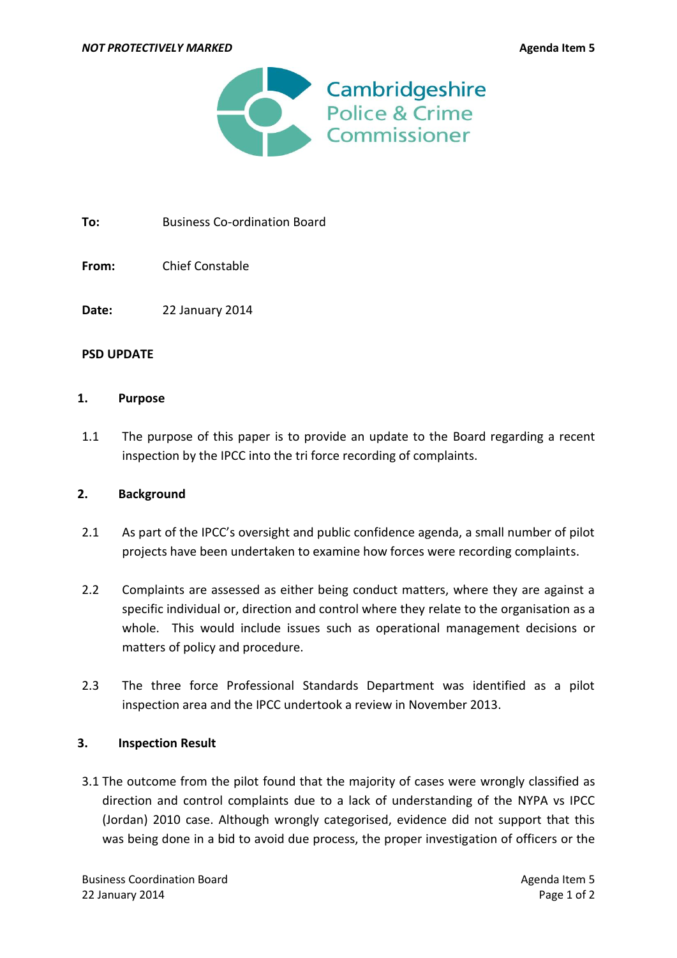

To: Business Co-ordination Board

**From:** Chief Constable

**Date:** 22 January 2014

#### **PSD UPDATE**

#### **1. Purpose**

1.1 The purpose of this paper is to provide an update to the Board regarding a recent inspection by the IPCC into the tri force recording of complaints.

## **2. Background**

- 2.1 As part of the IPCC's oversight and public confidence agenda, a small number of pilot projects have been undertaken to examine how forces were recording complaints.
- 2.2 Complaints are assessed as either being conduct matters, where they are against a specific individual or, direction and control where they relate to the organisation as a whole. This would include issues such as operational management decisions or matters of policy and procedure.
- 2.3 The three force Professional Standards Department was identified as a pilot inspection area and the IPCC undertook a review in November 2013.

## **3. Inspection Result**

3.1 The outcome from the pilot found that the majority of cases were wrongly classified as direction and control complaints due to a lack of understanding of the NYPA vs IPCC (Jordan) 2010 case. Although wrongly categorised, evidence did not support that this was being done in a bid to avoid due process, the proper investigation of officers or the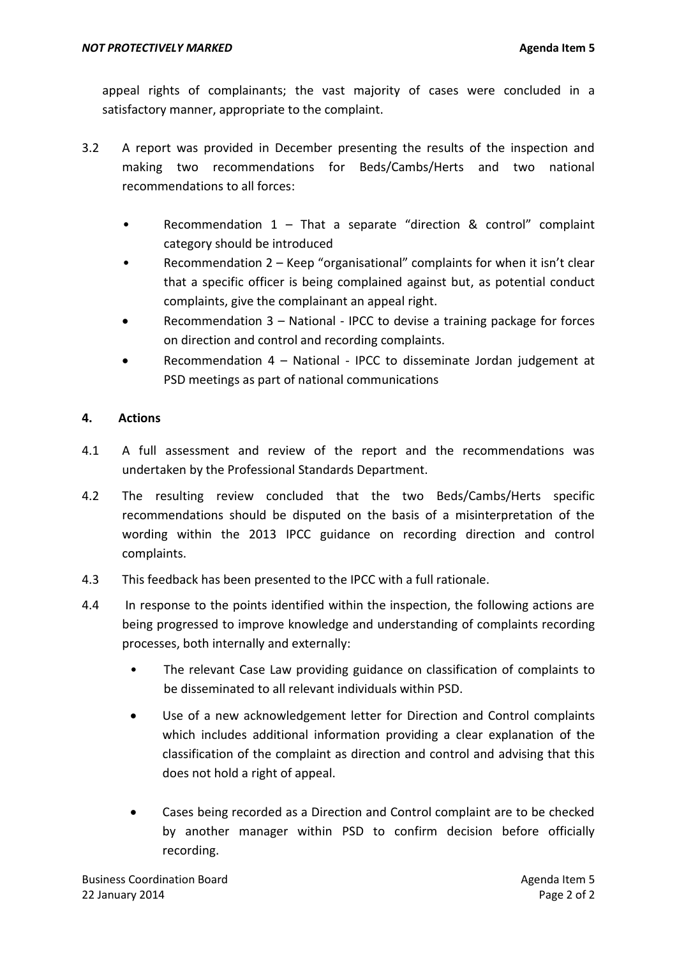appeal rights of complainants; the vast majority of cases were concluded in a satisfactory manner, appropriate to the complaint.

- 3.2 A report was provided in December presenting the results of the inspection and making two recommendations for Beds/Cambs/Herts and two national recommendations to all forces:
	- Recommendation  $1$  That a separate "direction & control" complaint category should be introduced
	- Recommendation 2 Keep "organisational" complaints for when it isn't clear that a specific officer is being complained against but, as potential conduct complaints, give the complainant an appeal right.
	- Recommendation 3 National IPCC to devise a training package for forces on direction and control and recording complaints.
	- Recommendation 4 National IPCC to disseminate Jordan judgement at PSD meetings as part of national communications

# **4. Actions**

- 4.1 A full assessment and review of the report and the recommendations was undertaken by the Professional Standards Department.
- 4.2 The resulting review concluded that the two Beds/Cambs/Herts specific recommendations should be disputed on the basis of a misinterpretation of the wording within the 2013 IPCC guidance on recording direction and control complaints.
- 4.3 This feedback has been presented to the IPCC with a full rationale.
- 4.4 In response to the points identified within the inspection, the following actions are being progressed to improve knowledge and understanding of complaints recording processes, both internally and externally:
	- The relevant Case Law providing guidance on classification of complaints to be disseminated to all relevant individuals within PSD.
	- Use of a new acknowledgement letter for Direction and Control complaints which includes additional information providing a clear explanation of the classification of the complaint as direction and control and advising that this does not hold a right of appeal.
	- Cases being recorded as a Direction and Control complaint are to be checked by another manager within PSD to confirm decision before officially recording.